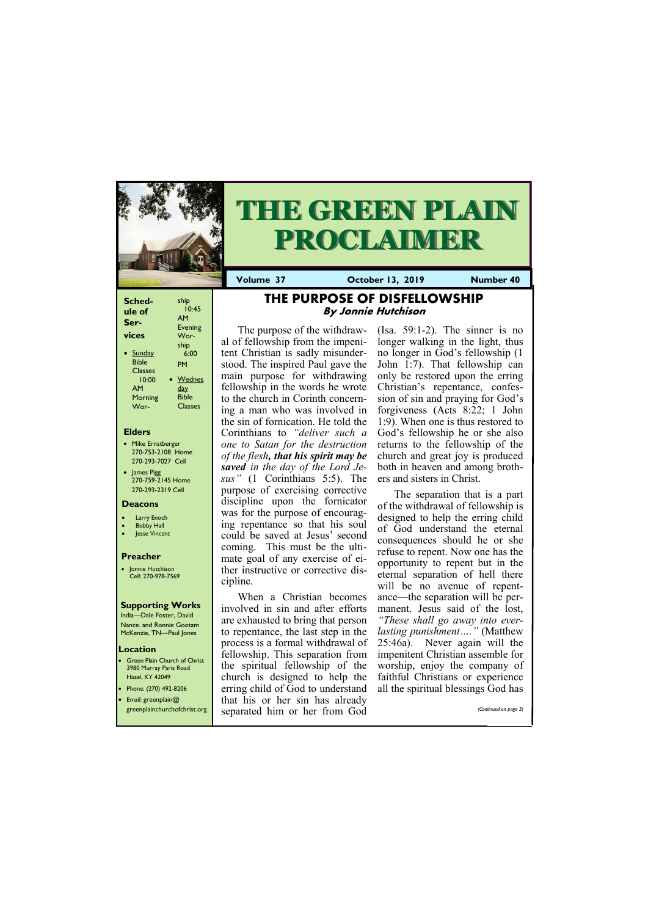| <b>Sched-</b><br>ule of<br>Ser- | ship<br>10:45<br>AM<br><b>Evening</b> |
|---------------------------------|---------------------------------------|
| vices                           | Wor-                                  |
| <b>Sunday</b>                   | ship                                  |
| Bible                           | 6:00                                  |
| <b>Classes</b>                  | PM                                    |
| 10:00                           | Wednes                                |
| AМ                              | <u>day</u>                            |
| Morning                         | <b>Bible</b>                          |
| Wor-                            | Classes                               |

### **Elders**

Green Plain Church of Christ 3980 Murray Paris Road Hazel, KY 42049 • Phone: (270) 492-8206

- Mike Ernstberger 270-753-2108 Home 270-293-7027 Cell
- James Pigg 270-759-2145 Home 270-293-2319 Cell

### **Location**

Jonnie Hutchison Cell: 270-978-7569



# **THE GREEN PLAIN PROCLAIMER**

**Volume 37 October 13, 2019 Number 40** 

### **Deacons**

- Larry Enoch
- **Bobby Hall**
- Jesse Vincent

### **Preacher**

### **Supporting Works**

India—Dale Foster, David Nance. and Ronnie Gootam McKenzie, TN—Paul Jones

### **THE PURPOSE OF DISFELLOWSHIP By Jonnie Hutchison**

The purpose of the withdrawal of fellowship from the impenitent Christian is sadly misunderstood. The inspired Paul gave the main purpose for withdrawing fellowship in the words he wrote to the church in Corinth concerning a man who was involved in the sin of fornication. He told the Corinthians to *"deliver such a one to Satan for the destruction of the flesh, that his spirit may be saved in the day of the Lord Jesus"* (1 Corinthians 5:5). The purpose of exercising corrective discipline upon the fornicator was for the purpose of encouraging repentance so that his soul could be saved at Jesus' second coming. This must be the ultimate goal of any exercise of either instructive or corrective discipline.

When a Christian becomes involved in sin and after efforts are exhausted to bring that person to repentance, the last step in the process is a formal withdrawal of fellowship. This separation from the spiritual fellowship of the church is designed to help the erring child of God to understand

| Email: greenplain $@$<br>greenplainchurchofchrist.org | that his or her sin has already<br>separated him or her from God | (Continued on page 3) |
|-------------------------------------------------------|------------------------------------------------------------------|-----------------------|
|                                                       |                                                                  |                       |

(Isa. 59:1-2). The sinner is no longer walking in the light, thus no longer in God's fellowship (1 John 1:7). That fellowship can only be restored upon the erring Christian's repentance, confession of sin and praying for God's forgiveness (Acts 8:22; 1 John 1:9). When one is thus restored to God's fellowship he or she also returns to the fellowship of the church and great joy is produced both in heaven and among brothers and sisters in Christ.

The separation that is a part of the withdrawal of fellowship is designed to help the erring child of God understand the eternal consequences should he or she refuse to repent. Now one has the opportunity to repent but in the eternal separation of hell there will be no avenue of repentance—the separation will be permanent. Jesus said of the lost, *"These shall go away into everlasting punishment…."* (Matthew 25:46a). Never again will the impenitent Christian assemble for worship, enjoy the company of faithful Christians or experience all the spiritual blessings God has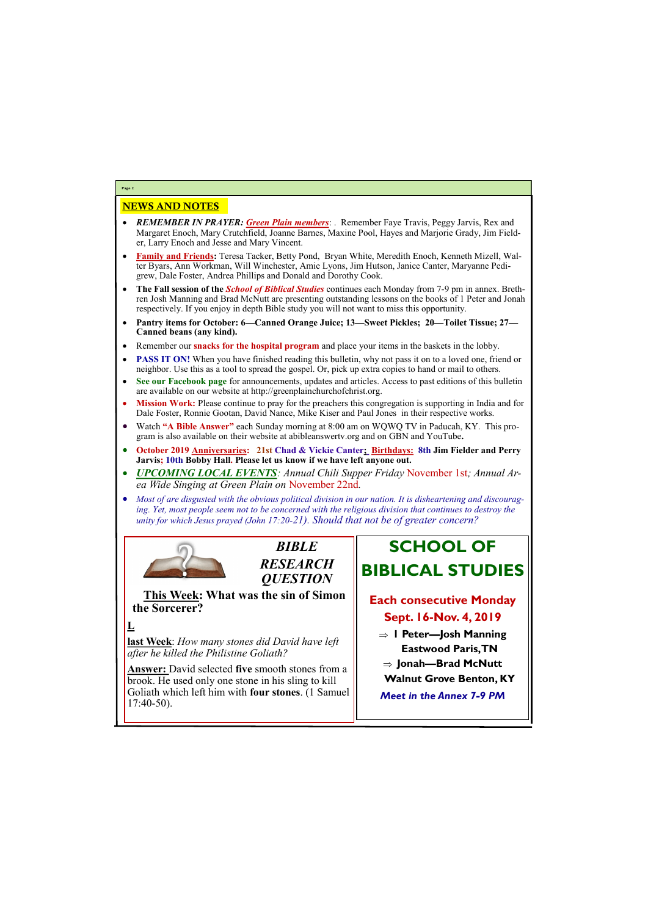## NEWS AND NOTES

- *REMEMBER IN PRAYER: Green Plain members*: . Remember Faye Travis, Peggy Jarvis, Rex and Margaret Enoch, Mary Crutchfield, Joanne Barnes, Maxine Pool, Hayes and Marjorie Grady, Jim Fielder, Larry Enoch and Jesse and Mary Vincent.
- **Family and Friends:** Teresa Tacker, Betty Pond, Bryan White, Meredith Enoch, Kenneth Mizell, Walter Byars, Ann Workman, Will Winchester, Amie Lyons, Jim Hutson, Janice Canter, Maryanne Pedigrew, Dale Foster, Andrea Phillips and Donald and Dorothy Cook.
- **The Fall session of the** *School of Biblical Studies* continues each Monday from 7-9 pm in annex. Brethren Josh Manning and Brad McNutt are presenting outstanding lessons on the books of 1 Peter and Jonah respectively. If you enjoy in depth Bible study you will not want to miss this opportunity.
- **Pantry items for October: 6—Canned Orange Juice; 13—Sweet Pickles; 20—Toilet Tissue; 27— Canned beans (any kind).**
- Remember our **snacks for the hospital program** and place your items in the baskets in the lobby.
- **PASS IT ON!** When you have finished reading this bulletin, why not pass it on to a loved one, friend or neighbor. Use this as a tool to spread the gospel. Or, pick up extra copies to hand or mail to others.
- **See our Facebook page** for announcements, updates and articles. Access to past editions of this bulletin are available on our website at http://greenplainchurchofchrist.org.
- **Mission Work:** Please continue to pray for the preachers this congregation is supporting in India and for Dale Foster, Ronnie Gootan, David Nance, Mike Kiser and Paul Jones in their respective works.
- Watch **"A Bible Answer"** each Sunday morning at 8:00 am on WQWQ TV in Paducah, KY. This program is also available on their website at abibleanswertv.org and on GBN and YouTube**.**
- **October 2019 Anniversaries: 21st Chad & Vickie Canter; Birthdays: 8th Jim Fielder and Perry Jarvis; 10th Bobby Hall. Please let us know if we have left anyone out.**
- *UPCOMING LOCAL EVENTS: Annual Chili Supper Friday* November 1st*; Annual Area Wide Singing at Green Plain on* November 22nd*.*
- *Most of are disgusted with the obvious political division in our nation. It is disheartening and discouraging. Yet, most people seem not to be concerned with the religious division that continues to destroy the unity for which Jesus prayed (John 17:20-21). Should that not be of greater concern?*



**Page 2**



**This Week: What was the sin of Simon the Sorcerer?** 

**L**

**last Week**: *How many stones did David have left after he killed the Philistine Goliath?*

**Answer:** David selected **five** smooth stones from a brook. He used only one stone in his sling to kill Goliath which left him with **four stones**. (1 Samuel

| <b>OUTROLL WITCH ICIT HILL WITH TOUT STOILES.</b> (1 SAIHUCH |  |
|--------------------------------------------------------------|--|
| $17:40-50$ ).                                                |  |
|                                                              |  |

## **SCHOOL OF BIBLICAL STUDIES**

## **Each consecutive Monday Sept. 16-Nov. 4, 2019**

- **1 Peter—Josh Manning Eastwood Paris, TN**
- **Jonah—Brad McNutt**
- **Walnut Grove Benton, KY**
- 

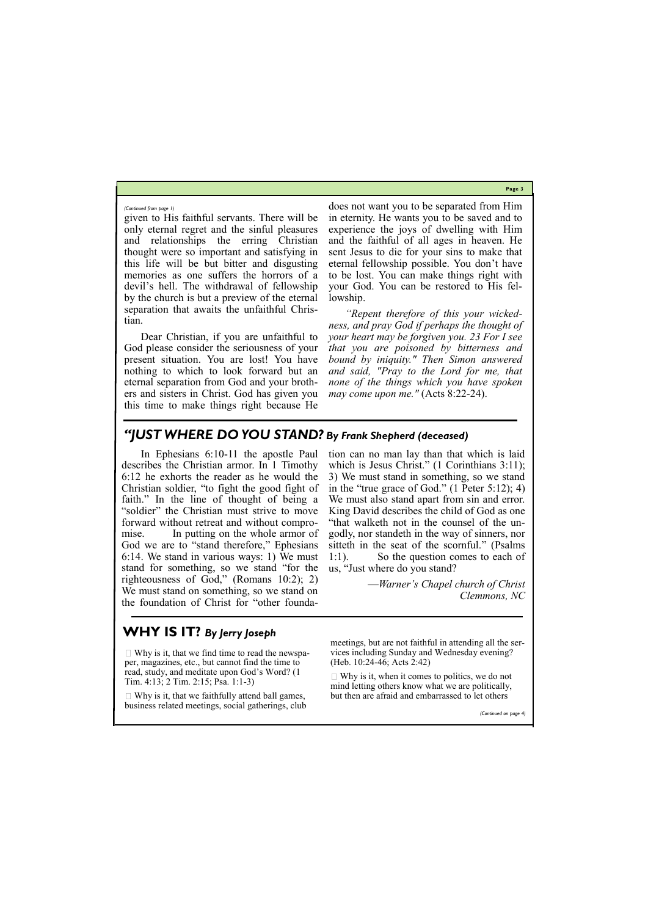**Page 3**

given to His faithful servants. There will be only eternal regret and the sinful pleasures and relationships the erring Christian thought were so important and satisfying in this life will be but bitter and disgusting memories as one suffers the horrors of a devil's hell. The withdrawal of fellowship by the church is but a preview of the eternal separation that awaits the unfaithful Christian.

Dear Christian, if you are unfaithful to God please consider the seriousness of your present situation. You are lost! You have nothing to which to look forward but an eternal separation from God and your brothers and sisters in Christ. God has given you this time to make things right because He

does not want you to be separated from Him in eternity. He wants you to be saved and to experience the joys of dwelling with Him and the faithful of all ages in heaven. He sent Jesus to die for your sins to make that eternal fellowship possible. You don't have to be lost. You can make things right with your God. You can be restored to His fellowship.

*"Repent therefore of this your wickedness, and pray God if perhaps the thought of your heart may be forgiven you. 23 For I see that you are poisoned by bitterness and bound by iniquity." Then Simon answered and said, "Pray to the Lord for me, that none of the things which you have spoken may come upon me."* (Acts 8:22-24).

 $\Box$  Why is it, that we find time to read the newspaper, magazines, etc., but cannot find the time to read, study, and meditate upon God's Word? (1 Tim. 4:13; 2 Tim. 2:15; Psa. 1:1-3)

### *(Continued from page 1)*

## *"JUST WHERE DO YOU STAND? By Frank Shepherd (deceased)*

 $\Box$  Why is it, that we faithfully attend ball games, business related meetings, social gatherings, club  $\Box$  Why is it, when it comes to politics, we do not mind letting others know what we are politically,

In Ephesians 6:10-11 the apostle Paul describes the Christian armor. In 1 Timothy 6:12 he exhorts the reader as he would the Christian soldier, "to fight the good fight of faith." In the line of thought of being a "soldier" the Christian must strive to move forward without retreat and without compromise. In putting on the whole armor of God we are to "stand therefore," Ephesians 6:14. We stand in various ways: 1) We must stand for something, so we stand "for the righteousness of God," (Romans 10:2); 2) We must stand on something, so we stand on the foundation of Christ for "other foundation can no man lay than that which is laid which is Jesus Christ." (1 Corinthians 3:11); 3) We must stand in something, so we stand in the "true grace of God." (1 Peter 5:12); 4) We must also stand apart from sin and error. King David describes the child of God as one "that walketh not in the counsel of the ungodly, nor standeth in the way of sinners, nor sitteth in the seat of the scornful." (Psalms 1:1). So the question comes to each of us, "Just where do you stand?

> —*Warner's Chapel church of Christ Clemmons, NC*

## **WHY IS IT?** *By Jerry Joseph*

meetings, but are not faithful in attending all the services including Sunday and Wednesday evening? (Heb. 10:24-46; Acts 2:42)

but then are afraid and embarrassed to let others

*(Continued on page 4)*